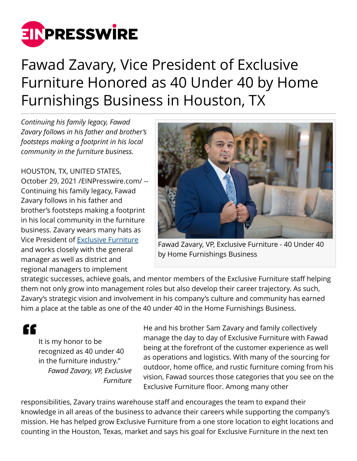

## Fawad Zavary, Vice President of Exclusive Furniture Honored as 40 Under 40 by Home Furnishings Business in Houston, TX

*Continuing his family legacy, Fawad Zavary follows in his father and brother's footsteps making a footprint in his local community in the furniture business.*

HOUSTON, TX, UNITED STATES, October 29, 2021 [/EINPresswire.com](http://www.einpresswire.com)/ -- Continuing his family legacy, Fawad Zavary follows in his father and brother's footsteps making a footprint in his local community in the furniture business. Zavary wears many hats as Vice President of [Exclusive Furniture](http://www.exclusivefurniture.com) and works closely with the general manager as well as district and regional managers to implement



Fawad Zavary, VP, Exclusive Furniture - 40 Under 40 by Home Furnishings Business

strategic successes, achieve goals, and mentor members of the Exclusive Furniture staff helping them not only grow into management roles but also develop their career trajectory. As such, Zavary's strategic vision and involvement in his company's culture and community has earned him a place at the table as one of the 40 under 40 in the Home Furnishings Business.

"

It is my honor to be recognized as 40 under 40 in the furniture industry." *Fawad Zavary, VP, Exclusive Furniture* He and his brother Sam Zavary and family collectively manage the day to day of Exclusive Furniture with Fawad being at the forefront of the customer experience as well as operations and logistics. With many of the sourcing for outdoor, home office, and rustic furniture coming from his vision, Fawad sources those categories that you see on the Exclusive Furniture floor. Among many other

responsibilities, Zavary trains warehouse staff and encourages the team to expand their knowledge in all areas of the business to advance their careers while supporting the company's mission. He has helped grow Exclusive Furniture from a one store location to eight locations and counting in the Houston, Texas, market and says his goal for Exclusive Furniture in the next ten